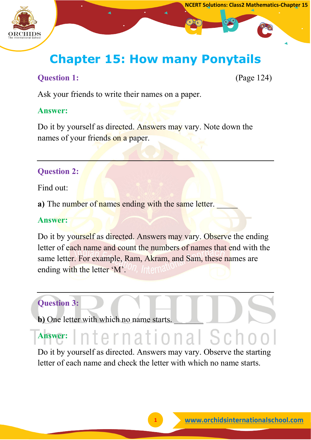

#### **NCERT Solutions: Class2 Mathematics-Chapter 15**

### **Chapter 15: How many Ponytails**

#### **Question 1:** (Page 124)

Ask your friends to write their names on a paper.

#### **Answer:**

Do it by yourself as directed. Answers may vary. Note down the names of your friends on a paper.

#### **Question 2:**

Find out:

a) The number of names ending with the same letter.

#### **Answer:**

Do it by yourself as directed. Answers may vary. Observe the ending letter of each name and count the numbers of names that end with the same letter. For example, Ram, Akram, and Sam, these names are ending with the letter 'M'.'<sup>On</sup>, *Internal* 

#### **Question 3:**

**b**) One letter with which no name starts.

#### nternational Scho **Answer:**

Do it by yourself as directed. Answers may vary. Observe the starting letter of each name and check the letter with which no name starts.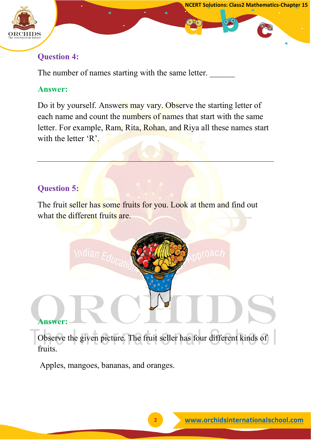

#### **Question 4:**

The number of names starting with the same letter.

#### **Answer:**

Do it by yourself. Answers may vary. Observe the starting letter of each name and count the numbers of names that start with the same letter. For example, Ram, Rita, Rohan, and Riya all these names start with the letter 'R'.

#### **Question 5:**

The fruit seller has some fruits for you. Look at them and find out what the different fruits are.

#### **Answer:**

Observe the given picture. The fruit seller has four different kinds of fruits.

Apples, mangoes, bananas, and oranges.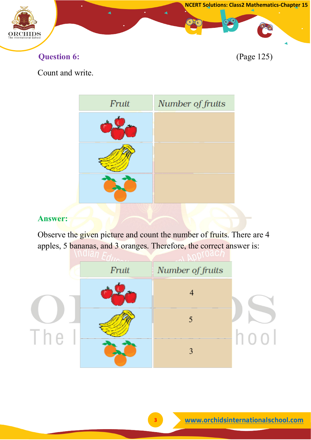

**Question 6:** (Page 125)

Count and write.



#### **Answer:**

Observe the given picture and count the number of fruits. There are 4 apples, 5 bananas, and 3 oranges. Therefore, the correct answer is:

|    | Fruit | Number of fruits |      |
|----|-------|------------------|------|
|    |       |                  |      |
| H. |       |                  |      |
|    |       | 3                | 1100 |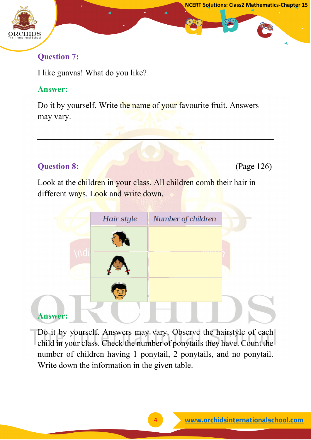

#### **Question 7:**

I like guavas! What do you like?

#### **Answer:**

Do it by yourself. Write the name of your favourite fruit. Answers may vary.

#### **Question 8: (Page 126) (Page 126)**

**NCERT Solutions: Class2 Mathematics-Chapter 15**

Look at the children in your class. All children comb their hair in different ways. Look and write down.

|                | Hair style | Number of children |  |
|----------------|------------|--------------------|--|
|                |            |                    |  |
|                |            |                    |  |
|                |            |                    |  |
| <b>Answer:</b> |            |                    |  |

Do it by yourself. Answers may vary. Observe the hairstyle of each child in your class. Check the number of ponytails they have. Count the number of children having 1 ponytail, 2 ponytails, and no ponytail. Write down the information in the given table.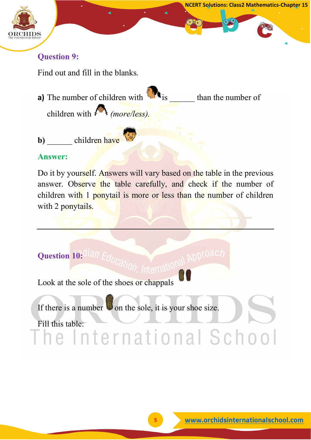

Find out and fill in the blanks.

**a)** The number of children with is than the number of children with *(more/less).*

**b**) children have

#### **Answer:**

Do it by yourself. Answers will vary based on the table in the previous answer. Observe the table carefully, and check if the number of children with 1 ponytail is more or less than the number of children with 2 ponytails.

**Question 10: Ilan A** 

Look at the sole of the shoes or chappals

If there is a number  $\bullet$  on the sole, it is your shoe size.

Fill this table: the mational School

**NCERT Solutions: Class2 Mathematics-Chapter 15**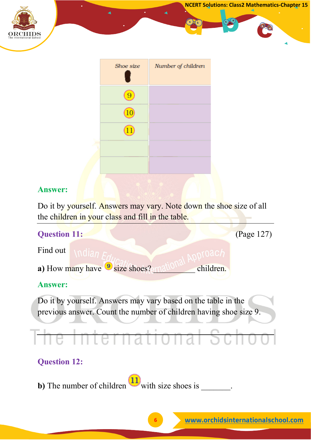

Do it by yourself. Answers may vary. Note down the shoe size of all the children in your class and fill in the table.

| <b>Question 11:</b>                                                                                                                |                                                        | (Page 127) |  |
|------------------------------------------------------------------------------------------------------------------------------------|--------------------------------------------------------|------------|--|
| Find out                                                                                                                           |                                                        |            |  |
|                                                                                                                                    | a) How many have <sup>9</sup> size shoes?<br>children. |            |  |
| <b>Answer:</b>                                                                                                                     |                                                        |            |  |
| Do it by yourself. Answers may vary based on the table in the<br>previous answer. Count the number of children having shoe size 9. |                                                        |            |  |
|                                                                                                                                    |                                                        |            |  |
| <b>Question 12:</b>                                                                                                                |                                                        |            |  |
|                                                                                                                                    |                                                        |            |  |

**b**) The number of children with size shoes is \_\_\_\_\_\_\_.

**NCERT Solutions: Class2 Mathematics-Chapter 15**

**CO**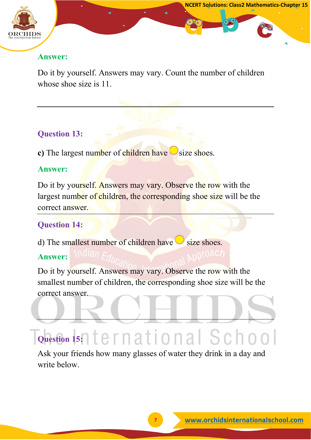

Do it by yourself. Answers may vary. Count the number of children whose shoe size is 11.

#### **Question 13:**

**c**) The largest number of children have  $\bigcirc$  size shoes.

#### **Answer:**

Do it by yourself. Answers may vary. Observe the row with the largest number of children, the corresponding shoe size will be the correct answer.

#### **Question 14:**

d) The smallest number of children have size shoes.

#### **Answer:**

Do it by yourself. Answers may vary. Observe the row with the smallest number of children, the corresponding shoe size will be the correct answer.

## **Question 15:**

Ask your friends how many glasses of water they drink in a day and write below.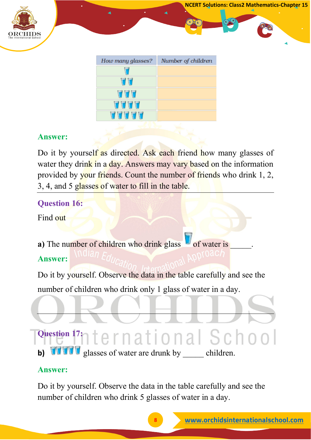

| How many glasses? | Number of children |
|-------------------|--------------------|
|                   |                    |
| UD                |                    |
| UV                |                    |
| TTT               |                    |
| <b>ALCAN</b>      |                    |
|                   |                    |

Do it by yourself as directed. Ask each friend how many glasses of water they drink in a day. Answers may vary based on the information provided by your friends. Count the number of friends who drink 1, 2, 3, 4, and 5 glasses of water to fill in the table.

#### **Question 16:**

Find out

**a**) The number of children who drink glass of water is **Answer:**

Do it by yourself. Observe the data in the table carefully and see the number of children who drink only 1 glass of water in a day.

# **Question 17:** 17: 10 to mational Schoo

**b) WIV** glasses of water are drunk by children.

#### **Answer:**

Do it by yourself. Observe the data in the table carefully and see the number of children who drink 5 glasses of water in a day.

**NCERT Solutions: Class2 Mathematics-Chapter 15**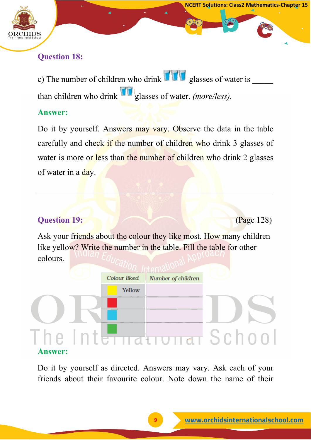

c) The number of children who drink  $\prod_{i=1}^n \prod_{j=1}^n$  glasses of water is than children who drink glasses of water. *(more/less).*

#### **Answer:**

Do it by yourself. Answers may vary. Observe the data in the table carefully and check if the number of children who drink 3 glasses of water is more or less than the number of children who drink 2 glasses of water in a day.

#### **Question 19: (Page 128)**

**NCERT Solutions: Class2 Mathematics-Chapter 15**

Ask your friends about the colour they like most. How many children like yellow? Write the number in the table. Fill the table for other colours.

|                |  | Colour liked | Number of children |                      |
|----------------|--|--------------|--------------------|----------------------|
|                |  | Yellow       |                    |                      |
|                |  |              |                    |                      |
| ne,            |  |              |                    | International School |
| <b>Answer:</b> |  |              |                    |                      |

Do it by yourself as directed. Answers may vary. Ask each of your friends about their favourite colour. Note down the name of their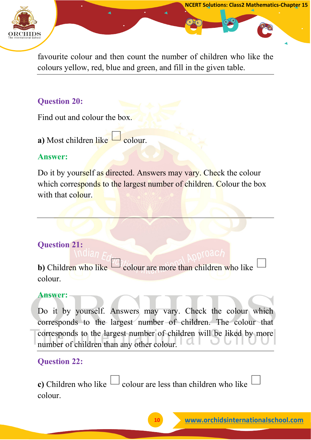

favourite colour and then count the number of children who like the colours yellow, red, blue and green, and fill in the given table.

#### **Question 20:**

Find out and colour the box.

**a)** Most children like  $\Box$  colour.

#### **Answer:**

Do it by yourself as directed. Answers may vary. Check the colour which corresponds to the largest number of children. Colour the box with that colour.

#### **Question 21:**

**b**) Children who like colour are more than children who like colour.

#### **Answer:**

Do it by yourself. Answers may vary. Check the colour which corresponds to the largest number of children. The colour that corresponds to the largest number of children will be liked by more number of children than any other colour.

#### **Question 22:**

**c**) Children who like  $\Box$  colour are less than children who like colour.